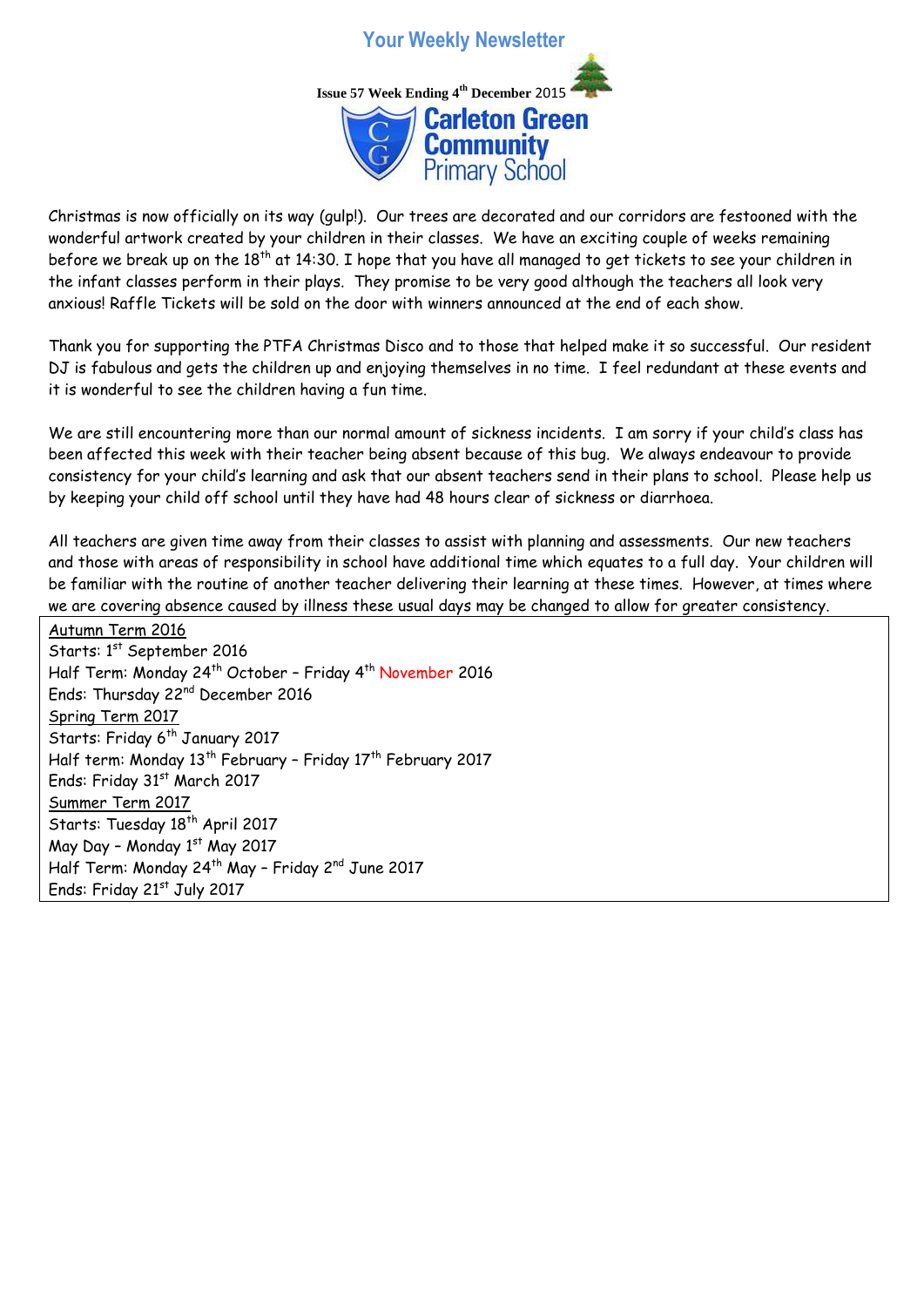

Christmas is now officially on its way (gulp!). Our trees are decorated and our corridors are festooned with the wonderful artwork created by your children in their classes. We have an exciting couple of weeks remaining before we break up on the  $18<sup>th</sup>$  at 14:30. I hope that you have all managed to get tickets to see your children in the infant classes perform in their plays. They promise to be very good although the teachers all look very anxious! Raffle Tickets will be sold on the door with winners announced at the end of each show.

Thank you for supporting the PTFA Christmas Disco and to those that helped make it so successful. Our resident DJ is fabulous and gets the children up and enjoying themselves in no time. I feel redundant at these events and it is wonderful to see the children having a fun time.

We are still encountering more than our normal amount of sickness incidents. I am sorry if your child's class has been affected this week with their teacher being absent because of this bug. We always endeavour to provide consistency for your child's learning and ask that our absent teachers send in their plans to school. Please help us by keeping your child off school until they have had 48 hours clear of sickness or diarrhoea.

All teachers are given time away from their classes to assist with planning and assessments. Our new teachers and those with areas of responsibility in school have additional time which equates to a full day. Your children will be familiar with the routine of another teacher delivering their learning at these times. However, at times where we are covering absence caused by illness these usual days may be changed to allow for greater consistency.

Autumn Term 2016 Starts: 1<sup>st</sup> September 2016 Half Term: Monday 24<sup>th</sup> October - Friday 4<sup>th</sup> November 2016 Ends: Thursday 22nd December 2016 Spring Term 2017 Starts: Friday 6<sup>th</sup> January 2017 Half term: Monday 13th February – Friday 17th February 2017 Ends: Friday 31st March 2017 Summer Term 2017 Starts: Tuesday 18<sup>th</sup> April 2017 May Day - Monday  $1<sup>st</sup>$  May 2017 Half Term: Monday 24<sup>th</sup> May - Friday 2<sup>nd</sup> June 2017 Ends: Friday 21st July 2017